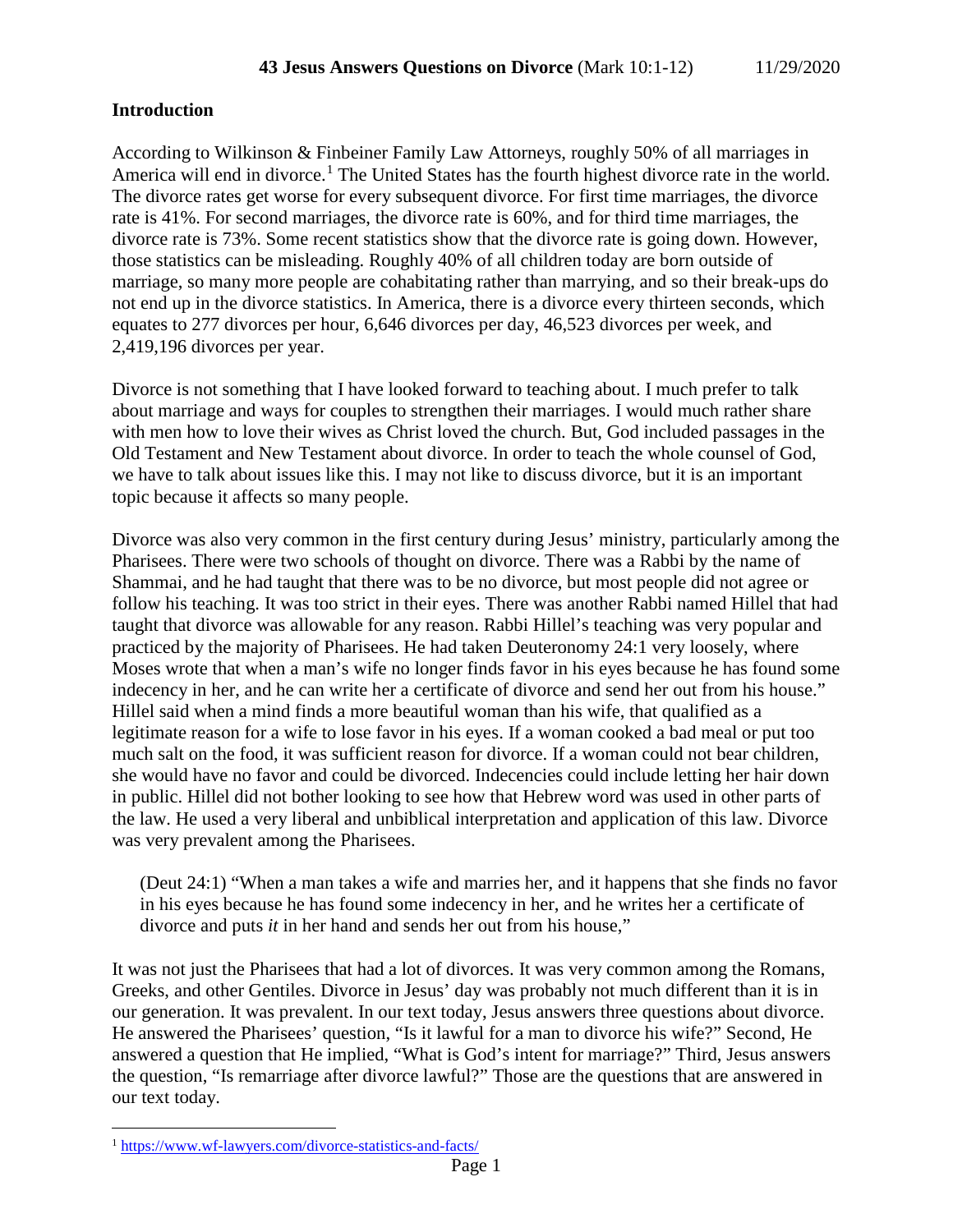## **Introduction**

According to Wilkinson & Finbeiner Family Law Attorneys, roughly 50% of all marriages in America will end in divorce.<sup>[1](#page-0-0)</sup> The United States has the fourth highest divorce rate in the world. The divorce rates get worse for every subsequent divorce. For first time marriages, the divorce rate is 41%. For second marriages, the divorce rate is 60%, and for third time marriages, the divorce rate is 73%. Some recent statistics show that the divorce rate is going down. However, those statistics can be misleading. Roughly 40% of all children today are born outside of marriage, so many more people are cohabitating rather than marrying, and so their break-ups do not end up in the divorce statistics. In America, there is a divorce every thirteen seconds, which equates to 277 divorces per hour, 6,646 divorces per day, 46,523 divorces per week, and 2,419,196 divorces per year.

Divorce is not something that I have looked forward to teaching about. I much prefer to talk about marriage and ways for couples to strengthen their marriages. I would much rather share with men how to love their wives as Christ loved the church. But, God included passages in the Old Testament and New Testament about divorce. In order to teach the whole counsel of God, we have to talk about issues like this. I may not like to discuss divorce, but it is an important topic because it affects so many people.

Divorce was also very common in the first century during Jesus' ministry, particularly among the Pharisees. There were two schools of thought on divorce. There was a Rabbi by the name of Shammai, and he had taught that there was to be no divorce, but most people did not agree or follow his teaching. It was too strict in their eyes. There was another Rabbi named Hillel that had taught that divorce was allowable for any reason. Rabbi Hillel's teaching was very popular and practiced by the majority of Pharisees. He had taken Deuteronomy 24:1 very loosely, where Moses wrote that when a man's wife no longer finds favor in his eyes because he has found some indecency in her, and he can write her a certificate of divorce and send her out from his house." Hillel said when a mind finds a more beautiful woman than his wife, that qualified as a legitimate reason for a wife to lose favor in his eyes. If a woman cooked a bad meal or put too much salt on the food, it was sufficient reason for divorce. If a woman could not bear children, she would have no favor and could be divorced. Indecencies could include letting her hair down in public. Hillel did not bother looking to see how that Hebrew word was used in other parts of the law. He used a very liberal and unbiblical interpretation and application of this law. Divorce was very prevalent among the Pharisees.

(Deut 24:1) "When a man takes a wife and marries her, and it happens that she finds no favor in his eyes because he has found some indecency in her, and he writes her a certificate of divorce and puts *it* in her hand and sends her out from his house,"

It was not just the Pharisees that had a lot of divorces. It was very common among the Romans, Greeks, and other Gentiles. Divorce in Jesus' day was probably not much different than it is in our generation. It was prevalent. In our text today, Jesus answers three questions about divorce. He answered the Pharisees' question, "Is it lawful for a man to divorce his wife?" Second, He answered a question that He implied, "What is God's intent for marriage?" Third, Jesus answers the question, "Is remarriage after divorce lawful?" Those are the questions that are answered in our text today.

<span id="page-0-0"></span> <sup>1</sup> <https://www.wf-lawyers.com/divorce-statistics-and-facts/>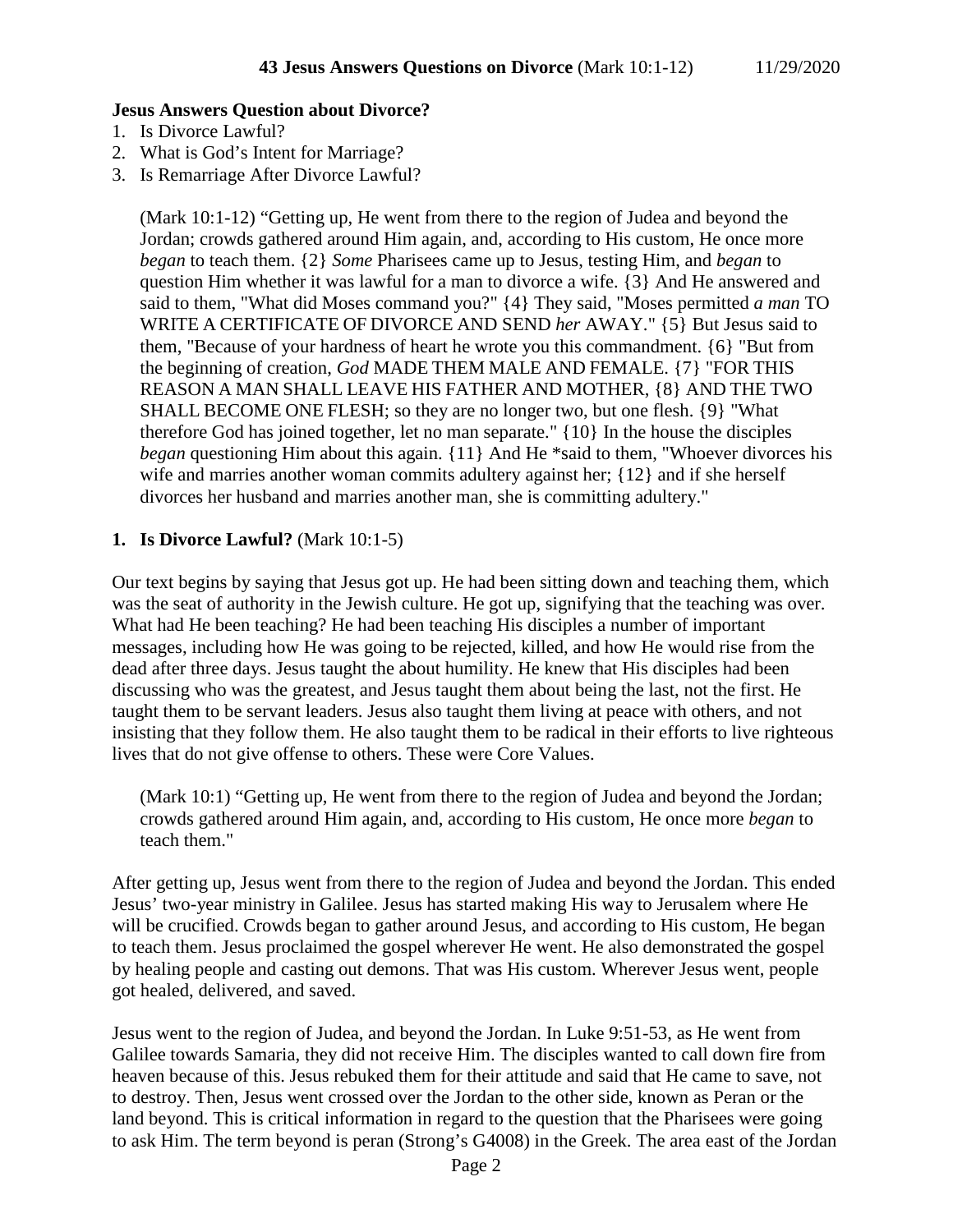### **Jesus Answers Question about Divorce?**

- 1. Is Divorce Lawful?
- 2. What is God's Intent for Marriage?
- 3. Is Remarriage After Divorce Lawful?

(Mark 10:1-12) "Getting up, He went from there to the region of Judea and beyond the Jordan; crowds gathered around Him again, and, according to His custom, He once more *began* to teach them. {2} *Some* Pharisees came up to Jesus, testing Him, and *began* to question Him whether it was lawful for a man to divorce a wife. {3} And He answered and said to them, "What did Moses command you?" {4} They said, "Moses permitted *a man* TO WRITE A CERTIFICATE OF DIVORCE AND SEND *her* AWAY." {5} But Jesus said to them, "Because of your hardness of heart he wrote you this commandment. {6} "But from the beginning of creation, *God* MADE THEM MALE AND FEMALE. {7} "FOR THIS REASON A MAN SHALL LEAVE HIS FATHER AND MOTHER, {8} AND THE TWO SHALL BECOME ONE FLESH; so they are no longer two, but one flesh. {9} "What therefore God has joined together, let no man separate." {10} In the house the disciples *began* questioning Him about this again. {11} And He \*said to them, "Whoever divorces his wife and marries another woman commits adultery against her; {12} and if she herself divorces her husband and marries another man, she is committing adultery."

# **1. Is Divorce Lawful?** (Mark 10:1-5)

Our text begins by saying that Jesus got up. He had been sitting down and teaching them, which was the seat of authority in the Jewish culture. He got up, signifying that the teaching was over. What had He been teaching? He had been teaching His disciples a number of important messages, including how He was going to be rejected, killed, and how He would rise from the dead after three days. Jesus taught the about humility. He knew that His disciples had been discussing who was the greatest, and Jesus taught them about being the last, not the first. He taught them to be servant leaders. Jesus also taught them living at peace with others, and not insisting that they follow them. He also taught them to be radical in their efforts to live righteous lives that do not give offense to others. These were Core Values.

(Mark 10:1) "Getting up, He went from there to the region of Judea and beyond the Jordan; crowds gathered around Him again, and, according to His custom, He once more *began* to teach them."

After getting up, Jesus went from there to the region of Judea and beyond the Jordan. This ended Jesus' two-year ministry in Galilee. Jesus has started making His way to Jerusalem where He will be crucified. Crowds began to gather around Jesus, and according to His custom, He began to teach them. Jesus proclaimed the gospel wherever He went. He also demonstrated the gospel by healing people and casting out demons. That was His custom. Wherever Jesus went, people got healed, delivered, and saved.

Jesus went to the region of Judea, and beyond the Jordan. In Luke 9:51-53, as He went from Galilee towards Samaria, they did not receive Him. The disciples wanted to call down fire from heaven because of this. Jesus rebuked them for their attitude and said that He came to save, not to destroy. Then, Jesus went crossed over the Jordan to the other side, known as Peran or the land beyond. This is critical information in regard to the question that the Pharisees were going to ask Him. The term beyond is peran (Strong's G4008) in the Greek. The area east of the Jordan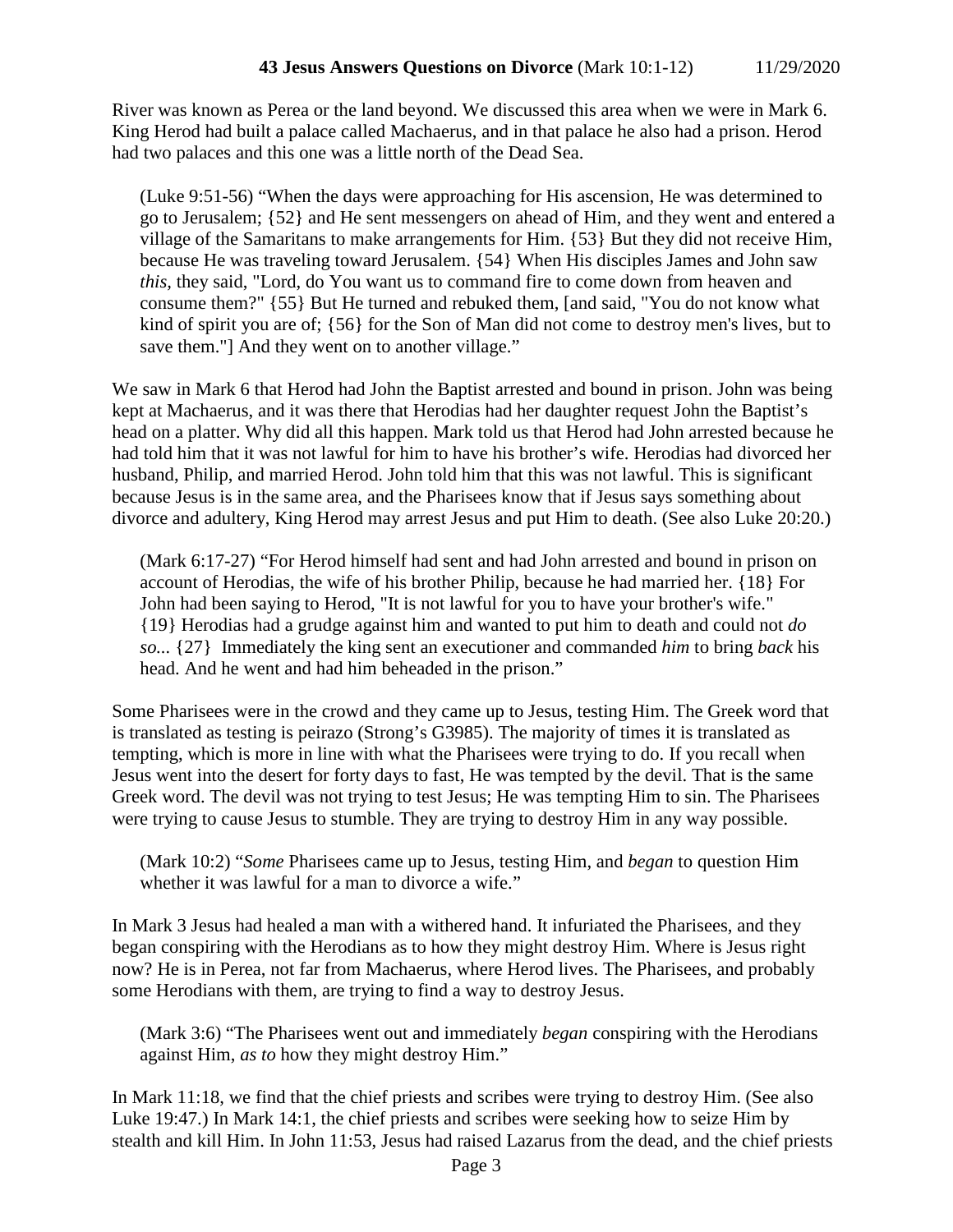River was known as Perea or the land beyond. We discussed this area when we were in Mark 6. King Herod had built a palace called Machaerus, and in that palace he also had a prison. Herod had two palaces and this one was a little north of the Dead Sea.

(Luke 9:51-56) "When the days were approaching for His ascension, He was determined to go to Jerusalem; {52} and He sent messengers on ahead of Him, and they went and entered a village of the Samaritans to make arrangements for Him. {53} But they did not receive Him, because He was traveling toward Jerusalem. {54} When His disciples James and John saw *this,* they said, "Lord, do You want us to command fire to come down from heaven and consume them?" {55} But He turned and rebuked them, [and said, "You do not know what kind of spirit you are of; {56} for the Son of Man did not come to destroy men's lives, but to save them."] And they went on to another village."

We saw in Mark 6 that Herod had John the Baptist arrested and bound in prison. John was being kept at Machaerus, and it was there that Herodias had her daughter request John the Baptist's head on a platter. Why did all this happen. Mark told us that Herod had John arrested because he had told him that it was not lawful for him to have his brother's wife. Herodias had divorced her husband, Philip, and married Herod. John told him that this was not lawful. This is significant because Jesus is in the same area, and the Pharisees know that if Jesus says something about divorce and adultery, King Herod may arrest Jesus and put Him to death. (See also Luke 20:20.)

(Mark 6:17-27) "For Herod himself had sent and had John arrested and bound in prison on account of Herodias, the wife of his brother Philip, because he had married her. {18} For John had been saying to Herod, "It is not lawful for you to have your brother's wife." {19} Herodias had a grudge against him and wanted to put him to death and could not *do so...* {27} Immediately the king sent an executioner and commanded *him* to bring *back* his head. And he went and had him beheaded in the prison."

Some Pharisees were in the crowd and they came up to Jesus, testing Him. The Greek word that is translated as testing is peirazo (Strong's G3985). The majority of times it is translated as tempting, which is more in line with what the Pharisees were trying to do. If you recall when Jesus went into the desert for forty days to fast, He was tempted by the devil. That is the same Greek word. The devil was not trying to test Jesus; He was tempting Him to sin. The Pharisees were trying to cause Jesus to stumble. They are trying to destroy Him in any way possible.

(Mark 10:2) "*Some* Pharisees came up to Jesus, testing Him, and *began* to question Him whether it was lawful for a man to divorce a wife."

In Mark 3 Jesus had healed a man with a withered hand. It infuriated the Pharisees, and they began conspiring with the Herodians as to how they might destroy Him. Where is Jesus right now? He is in Perea, not far from Machaerus, where Herod lives. The Pharisees, and probably some Herodians with them, are trying to find a way to destroy Jesus.

(Mark 3:6) "The Pharisees went out and immediately *began* conspiring with the Herodians against Him, *as to* how they might destroy Him."

In Mark 11:18, we find that the chief priests and scribes were trying to destroy Him. (See also Luke 19:47.) In Mark 14:1, the chief priests and scribes were seeking how to seize Him by stealth and kill Him. In John 11:53, Jesus had raised Lazarus from the dead, and the chief priests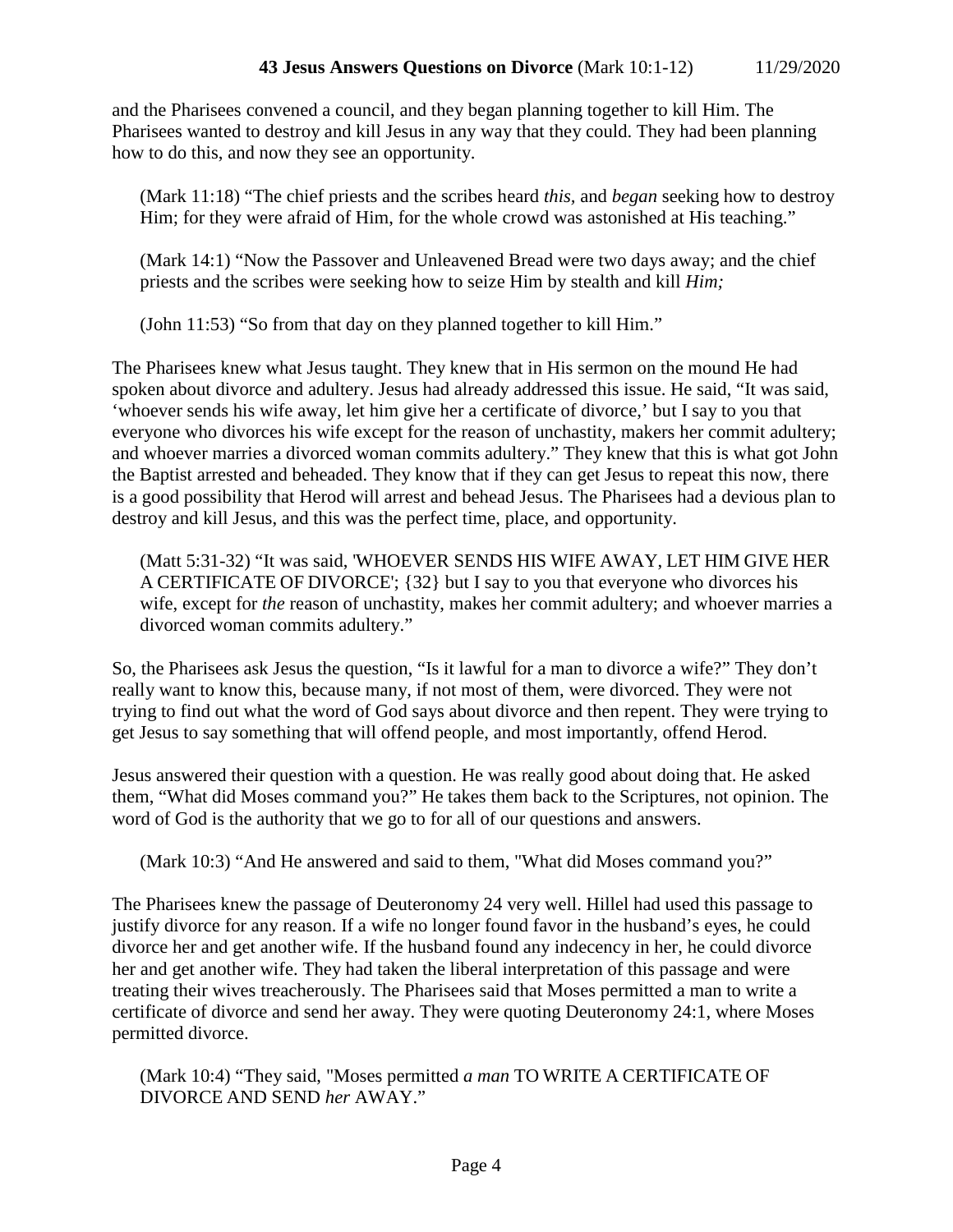and the Pharisees convened a council, and they began planning together to kill Him. The Pharisees wanted to destroy and kill Jesus in any way that they could. They had been planning how to do this, and now they see an opportunity.

(Mark 11:18) "The chief priests and the scribes heard *this,* and *began* seeking how to destroy Him; for they were afraid of Him, for the whole crowd was astonished at His teaching."

(Mark 14:1) "Now the Passover and Unleavened Bread were two days away; and the chief priests and the scribes were seeking how to seize Him by stealth and kill *Him;*

(John 11:53) "So from that day on they planned together to kill Him."

The Pharisees knew what Jesus taught. They knew that in His sermon on the mound He had spoken about divorce and adultery. Jesus had already addressed this issue. He said, "It was said, 'whoever sends his wife away, let him give her a certificate of divorce,' but I say to you that everyone who divorces his wife except for the reason of unchastity, makers her commit adultery; and whoever marries a divorced woman commits adultery." They knew that this is what got John the Baptist arrested and beheaded. They know that if they can get Jesus to repeat this now, there is a good possibility that Herod will arrest and behead Jesus. The Pharisees had a devious plan to destroy and kill Jesus, and this was the perfect time, place, and opportunity.

(Matt 5:31-32) "It was said, 'WHOEVER SENDS HIS WIFE AWAY, LET HIM GIVE HER A CERTIFICATE OF DIVORCE'; {32} but I say to you that everyone who divorces his wife, except for *the* reason of unchastity, makes her commit adultery; and whoever marries a divorced woman commits adultery."

So, the Pharisees ask Jesus the question, "Is it lawful for a man to divorce a wife?" They don't really want to know this, because many, if not most of them, were divorced. They were not trying to find out what the word of God says about divorce and then repent. They were trying to get Jesus to say something that will offend people, and most importantly, offend Herod.

Jesus answered their question with a question. He was really good about doing that. He asked them, "What did Moses command you?" He takes them back to the Scriptures, not opinion. The word of God is the authority that we go to for all of our questions and answers.

(Mark 10:3) "And He answered and said to them, "What did Moses command you?"

The Pharisees knew the passage of Deuteronomy 24 very well. Hillel had used this passage to justify divorce for any reason. If a wife no longer found favor in the husband's eyes, he could divorce her and get another wife. If the husband found any indecency in her, he could divorce her and get another wife. They had taken the liberal interpretation of this passage and were treating their wives treacherously. The Pharisees said that Moses permitted a man to write a certificate of divorce and send her away. They were quoting Deuteronomy 24:1, where Moses permitted divorce.

(Mark 10:4) "They said, "Moses permitted *a man* TO WRITE A CERTIFICATE OF DIVORCE AND SEND *her* AWAY."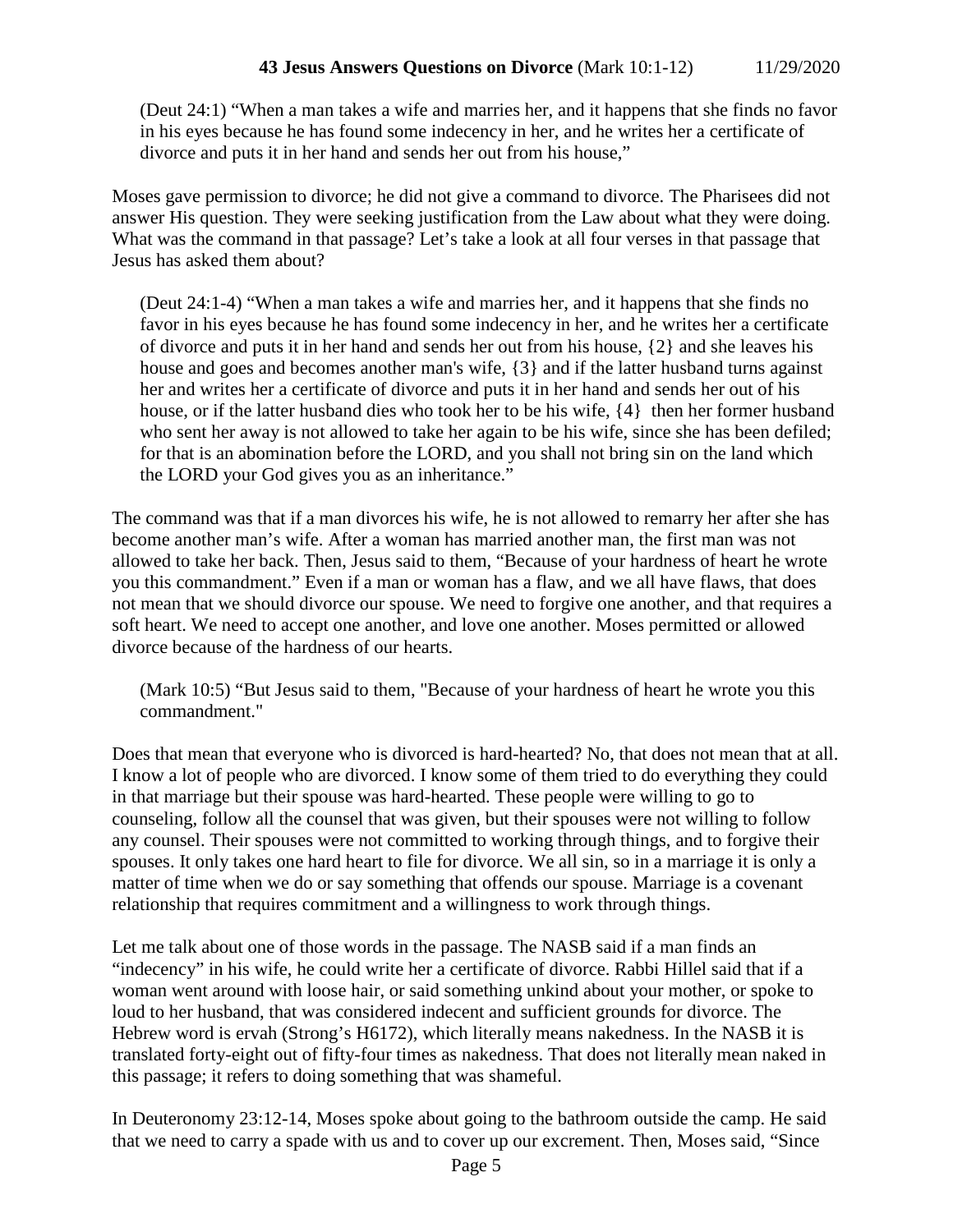(Deut 24:1) "When a man takes a wife and marries her, and it happens that she finds no favor in his eyes because he has found some indecency in her, and he writes her a certificate of divorce and puts it in her hand and sends her out from his house,"

Moses gave permission to divorce; he did not give a command to divorce. The Pharisees did not answer His question. They were seeking justification from the Law about what they were doing. What was the command in that passage? Let's take a look at all four verses in that passage that Jesus has asked them about?

(Deut 24:1-4) "When a man takes a wife and marries her, and it happens that she finds no favor in his eyes because he has found some indecency in her, and he writes her a certificate of divorce and puts it in her hand and sends her out from his house, {2} and she leaves his house and goes and becomes another man's wife, {3} and if the latter husband turns against her and writes her a certificate of divorce and puts it in her hand and sends her out of his house, or if the latter husband dies who took her to be his wife,  $\{4\}$  then her former husband who sent her away is not allowed to take her again to be his wife, since she has been defiled; for that is an abomination before the LORD, and you shall not bring sin on the land which the LORD your God gives you as an inheritance."

The command was that if a man divorces his wife, he is not allowed to remarry her after she has become another man's wife. After a woman has married another man, the first man was not allowed to take her back. Then, Jesus said to them, "Because of your hardness of heart he wrote you this commandment." Even if a man or woman has a flaw, and we all have flaws, that does not mean that we should divorce our spouse. We need to forgive one another, and that requires a soft heart. We need to accept one another, and love one another. Moses permitted or allowed divorce because of the hardness of our hearts.

(Mark 10:5) "But Jesus said to them, "Because of your hardness of heart he wrote you this commandment."

Does that mean that everyone who is divorced is hard-hearted? No, that does not mean that at all. I know a lot of people who are divorced. I know some of them tried to do everything they could in that marriage but their spouse was hard-hearted. These people were willing to go to counseling, follow all the counsel that was given, but their spouses were not willing to follow any counsel. Their spouses were not committed to working through things, and to forgive their spouses. It only takes one hard heart to file for divorce. We all sin, so in a marriage it is only a matter of time when we do or say something that offends our spouse. Marriage is a covenant relationship that requires commitment and a willingness to work through things.

Let me talk about one of those words in the passage. The NASB said if a man finds an "indecency" in his wife, he could write her a certificate of divorce. Rabbi Hillel said that if a woman went around with loose hair, or said something unkind about your mother, or spoke to loud to her husband, that was considered indecent and sufficient grounds for divorce. The Hebrew word is ervah (Strong's H6172), which literally means nakedness. In the NASB it is translated forty-eight out of fifty-four times as nakedness. That does not literally mean naked in this passage; it refers to doing something that was shameful.

In Deuteronomy 23:12-14, Moses spoke about going to the bathroom outside the camp. He said that we need to carry a spade with us and to cover up our excrement. Then, Moses said, "Since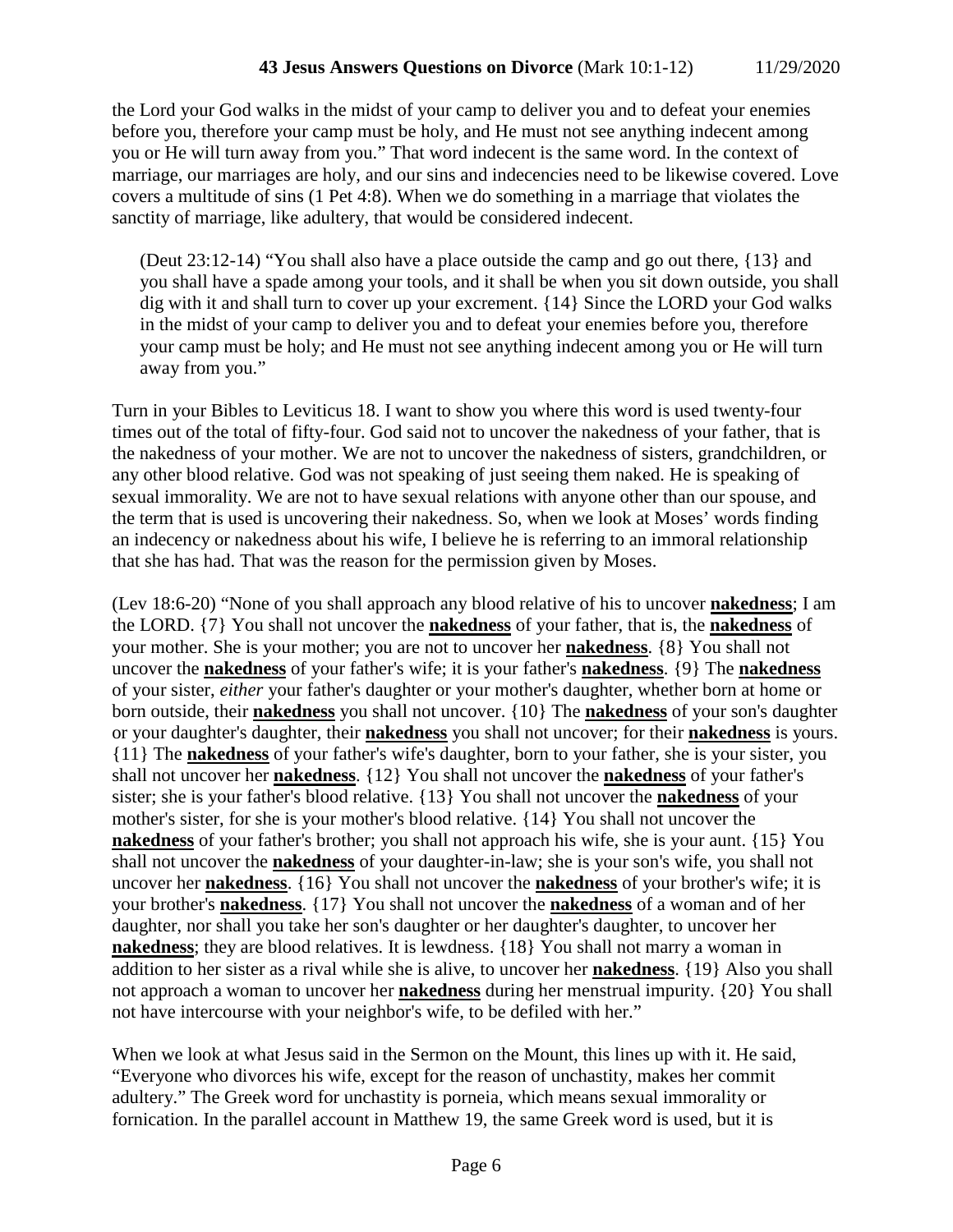the Lord your God walks in the midst of your camp to deliver you and to defeat your enemies before you, therefore your camp must be holy, and He must not see anything indecent among you or He will turn away from you." That word indecent is the same word. In the context of marriage, our marriages are holy, and our sins and indecencies need to be likewise covered. Love covers a multitude of sins (1 Pet 4:8). When we do something in a marriage that violates the sanctity of marriage, like adultery, that would be considered indecent.

(Deut 23:12-14) "You shall also have a place outside the camp and go out there, {13} and you shall have a spade among your tools, and it shall be when you sit down outside, you shall dig with it and shall turn to cover up your excrement. {14} Since the LORD your God walks in the midst of your camp to deliver you and to defeat your enemies before you, therefore your camp must be holy; and He must not see anything indecent among you or He will turn away from you."

Turn in your Bibles to Leviticus 18. I want to show you where this word is used twenty-four times out of the total of fifty-four. God said not to uncover the nakedness of your father, that is the nakedness of your mother. We are not to uncover the nakedness of sisters, grandchildren, or any other blood relative. God was not speaking of just seeing them naked. He is speaking of sexual immorality. We are not to have sexual relations with anyone other than our spouse, and the term that is used is uncovering their nakedness. So, when we look at Moses' words finding an indecency or nakedness about his wife, I believe he is referring to an immoral relationship that she has had. That was the reason for the permission given by Moses.

(Lev 18:6-20) "None of you shall approach any blood relative of his to uncover **nakedness**; I am the LORD. {7} You shall not uncover the **nakedness** of your father, that is, the **nakedness** of your mother. She is your mother; you are not to uncover her **nakedness**. {8} You shall not uncover the **nakedness** of your father's wife; it is your father's **nakedness**. {9} The **nakedness** of your sister, *either* your father's daughter or your mother's daughter, whether born at home or born outside, their **nakedness** you shall not uncover. {10} The **nakedness** of your son's daughter or your daughter's daughter, their **nakedness** you shall not uncover; for their **nakedness** is yours. {11} The **nakedness** of your father's wife's daughter, born to your father, she is your sister, you shall not uncover her **nakedness**. {12} You shall not uncover the **nakedness** of your father's sister; she is your father's blood relative. {13} You shall not uncover the **nakedness** of your mother's sister, for she is your mother's blood relative. {14} You shall not uncover the **nakedness** of your father's brother; you shall not approach his wife, she is your aunt. {15} You shall not uncover the **nakedness** of your daughter-in-law; she is your son's wife, you shall not uncover her **nakedness**. {16} You shall not uncover the **nakedness** of your brother's wife; it is your brother's **nakedness**. {17} You shall not uncover the **nakedness** of a woman and of her daughter, nor shall you take her son's daughter or her daughter's daughter, to uncover her **nakedness**; they are blood relatives. It is lewdness. {18} You shall not marry a woman in addition to her sister as a rival while she is alive, to uncover her **nakedness**. {19} Also you shall not approach a woman to uncover her **nakedness** during her menstrual impurity. {20} You shall not have intercourse with your neighbor's wife, to be defiled with her."

When we look at what Jesus said in the Sermon on the Mount, this lines up with it. He said, "Everyone who divorces his wife, except for the reason of unchastity, makes her commit adultery." The Greek word for unchastity is porneia, which means sexual immorality or fornication. In the parallel account in Matthew 19, the same Greek word is used, but it is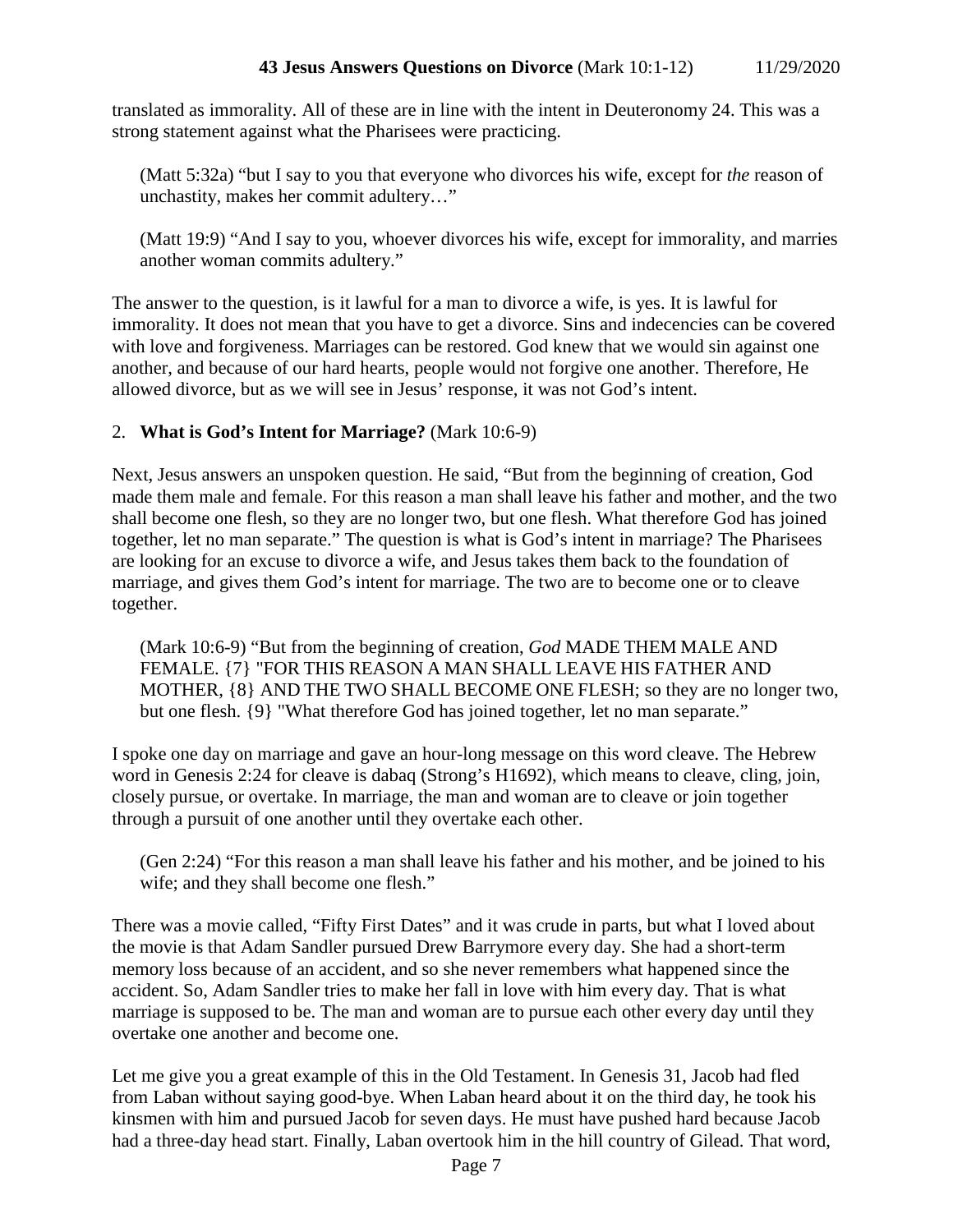translated as immorality. All of these are in line with the intent in Deuteronomy 24. This was a strong statement against what the Pharisees were practicing.

(Matt 5:32a) "but I say to you that everyone who divorces his wife, except for *the* reason of unchastity, makes her commit adultery…"

(Matt 19:9) "And I say to you, whoever divorces his wife, except for immorality, and marries another woman commits adultery."

The answer to the question, is it lawful for a man to divorce a wife, is yes. It is lawful for immorality. It does not mean that you have to get a divorce. Sins and indecencies can be covered with love and forgiveness. Marriages can be restored. God knew that we would sin against one another, and because of our hard hearts, people would not forgive one another. Therefore, He allowed divorce, but as we will see in Jesus' response, it was not God's intent.

# 2. **What is God's Intent for Marriage?** (Mark 10:6-9)

Next, Jesus answers an unspoken question. He said, "But from the beginning of creation, God made them male and female. For this reason a man shall leave his father and mother, and the two shall become one flesh, so they are no longer two, but one flesh. What therefore God has joined together, let no man separate." The question is what is God's intent in marriage? The Pharisees are looking for an excuse to divorce a wife, and Jesus takes them back to the foundation of marriage, and gives them God's intent for marriage. The two are to become one or to cleave together.

(Mark 10:6-9) "But from the beginning of creation, *God* MADE THEM MALE AND FEMALE. {7} "FOR THIS REASON A MAN SHALL LEAVE HIS FATHER AND MOTHER, {8} AND THE TWO SHALL BECOME ONE FLESH; so they are no longer two, but one flesh. {9} "What therefore God has joined together, let no man separate."

I spoke one day on marriage and gave an hour-long message on this word cleave. The Hebrew word in Genesis 2:24 for cleave is dabaq (Strong's H1692), which means to cleave, cling, join, closely pursue, or overtake. In marriage, the man and woman are to cleave or join together through a pursuit of one another until they overtake each other.

(Gen 2:24) "For this reason a man shall leave his father and his mother, and be joined to his wife; and they shall become one flesh."

There was a movie called, "Fifty First Dates" and it was crude in parts, but what I loved about the movie is that Adam Sandler pursued Drew Barrymore every day. She had a short-term memory loss because of an accident, and so she never remembers what happened since the accident. So, Adam Sandler tries to make her fall in love with him every day. That is what marriage is supposed to be. The man and woman are to pursue each other every day until they overtake one another and become one.

Let me give you a great example of this in the Old Testament. In Genesis 31, Jacob had fled from Laban without saying good-bye. When Laban heard about it on the third day, he took his kinsmen with him and pursued Jacob for seven days. He must have pushed hard because Jacob had a three-day head start. Finally, Laban overtook him in the hill country of Gilead. That word,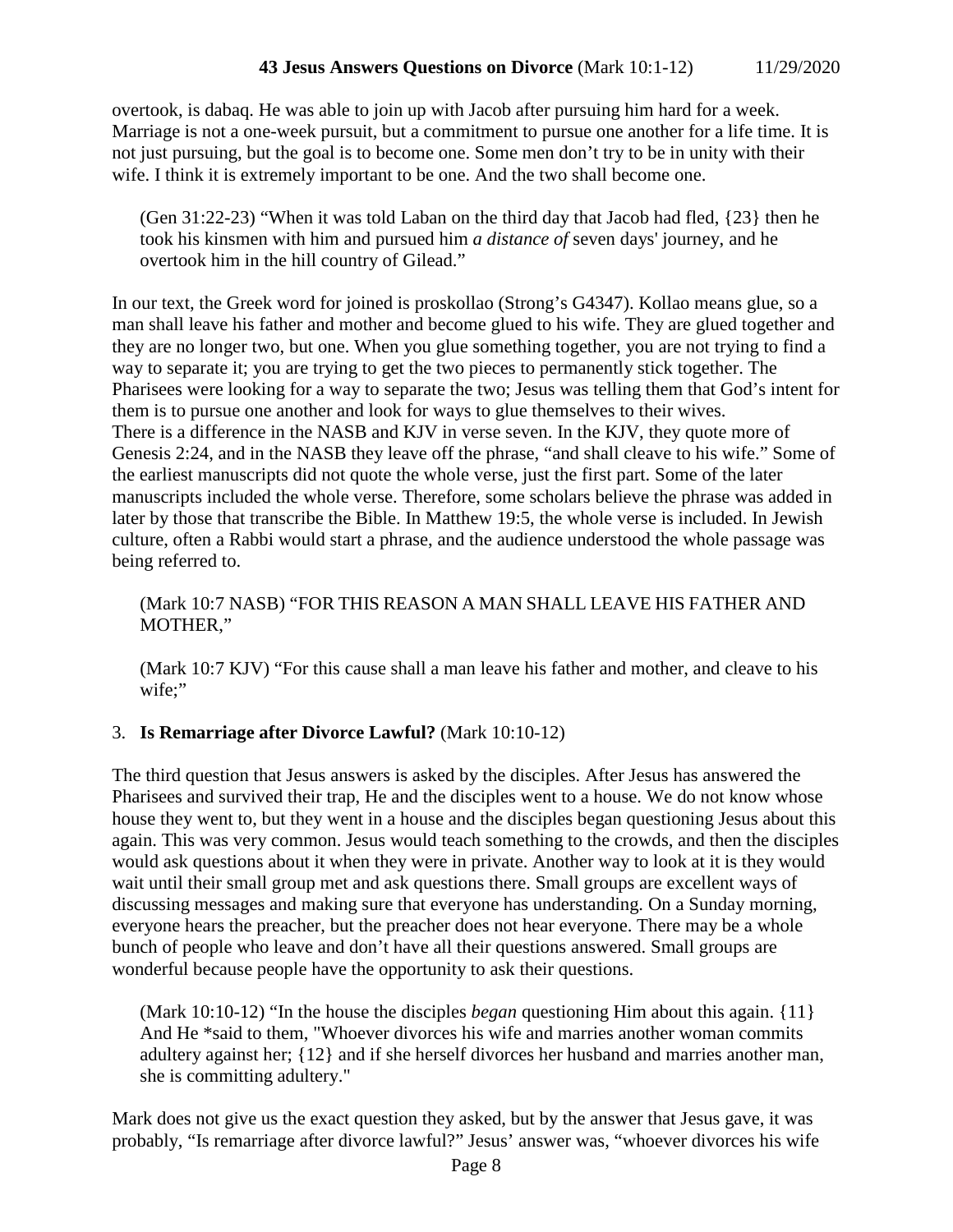overtook, is dabaq. He was able to join up with Jacob after pursuing him hard for a week. Marriage is not a one-week pursuit, but a commitment to pursue one another for a life time. It is not just pursuing, but the goal is to become one. Some men don't try to be in unity with their wife. I think it is extremely important to be one. And the two shall become one.

(Gen 31:22-23) "When it was told Laban on the third day that Jacob had fled, {23} then he took his kinsmen with him and pursued him *a distance of* seven days' journey, and he overtook him in the hill country of Gilead."

In our text, the Greek word for joined is proskollao (Strong's G4347). Kollao means glue, so a man shall leave his father and mother and become glued to his wife. They are glued together and they are no longer two, but one. When you glue something together, you are not trying to find a way to separate it; you are trying to get the two pieces to permanently stick together. The Pharisees were looking for a way to separate the two; Jesus was telling them that God's intent for them is to pursue one another and look for ways to glue themselves to their wives. There is a difference in the NASB and KJV in verse seven. In the KJV, they quote more of Genesis 2:24, and in the NASB they leave off the phrase, "and shall cleave to his wife." Some of the earliest manuscripts did not quote the whole verse, just the first part. Some of the later manuscripts included the whole verse. Therefore, some scholars believe the phrase was added in later by those that transcribe the Bible. In Matthew 19:5, the whole verse is included. In Jewish culture, often a Rabbi would start a phrase, and the audience understood the whole passage was being referred to.

## (Mark 10:7 NASB) "FOR THIS REASON A MAN SHALL LEAVE HIS FATHER AND MOTHER,"

(Mark 10:7 KJV) "For this cause shall a man leave his father and mother, and cleave to his wife;"

# 3. **Is Remarriage after Divorce Lawful?** (Mark 10:10-12)

The third question that Jesus answers is asked by the disciples. After Jesus has answered the Pharisees and survived their trap, He and the disciples went to a house. We do not know whose house they went to, but they went in a house and the disciples began questioning Jesus about this again. This was very common. Jesus would teach something to the crowds, and then the disciples would ask questions about it when they were in private. Another way to look at it is they would wait until their small group met and ask questions there. Small groups are excellent ways of discussing messages and making sure that everyone has understanding. On a Sunday morning, everyone hears the preacher, but the preacher does not hear everyone. There may be a whole bunch of people who leave and don't have all their questions answered. Small groups are wonderful because people have the opportunity to ask their questions.

(Mark 10:10-12) "In the house the disciples *began* questioning Him about this again. {11} And He \*said to them, "Whoever divorces his wife and marries another woman commits adultery against her; {12} and if she herself divorces her husband and marries another man, she is committing adultery."

Mark does not give us the exact question they asked, but by the answer that Jesus gave, it was probably, "Is remarriage after divorce lawful?" Jesus' answer was, "whoever divorces his wife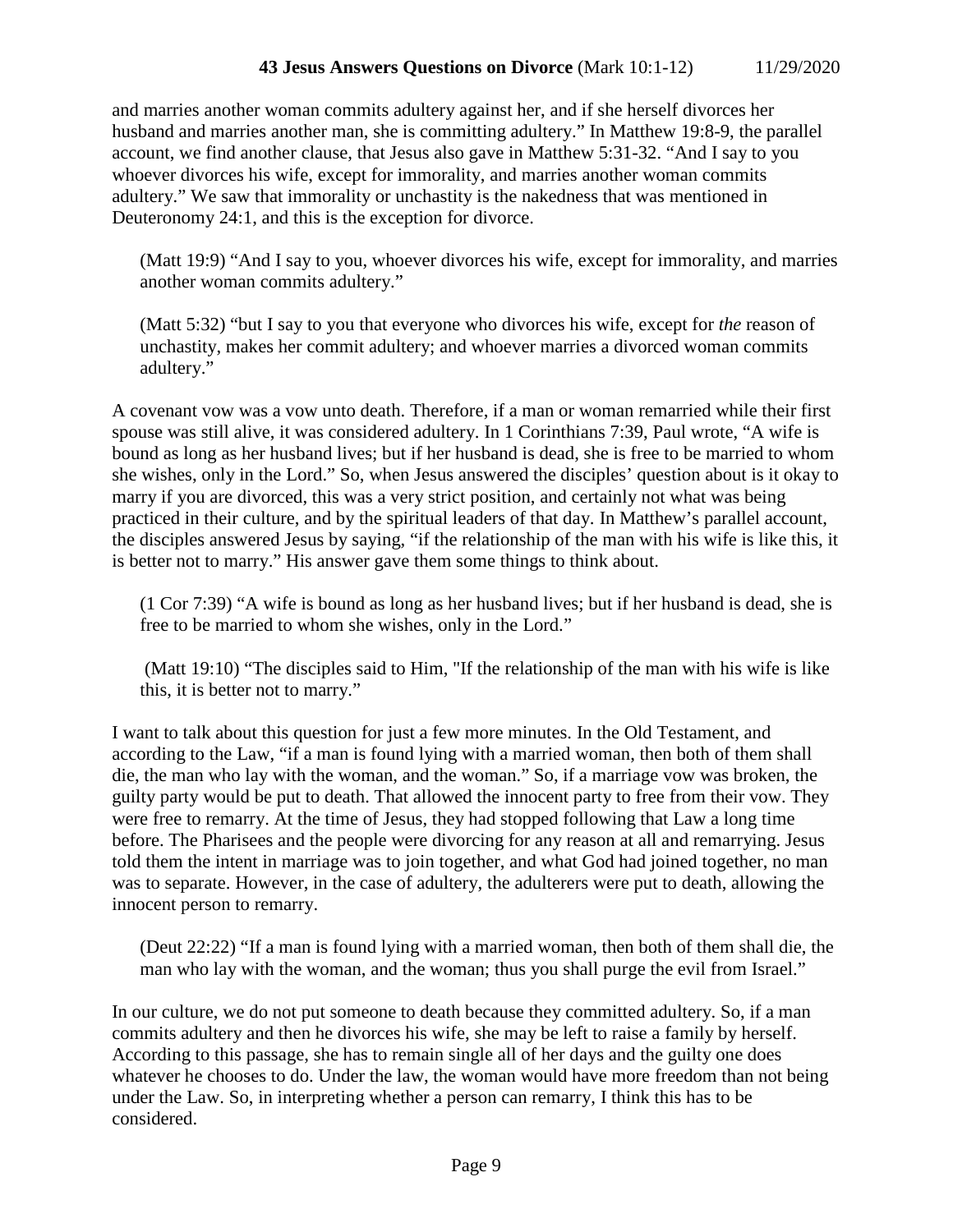and marries another woman commits adultery against her, and if she herself divorces her husband and marries another man, she is committing adultery." In Matthew 19:8-9, the parallel account, we find another clause, that Jesus also gave in Matthew 5:31-32. "And I say to you whoever divorces his wife, except for immorality, and marries another woman commits adultery." We saw that immorality or unchastity is the nakedness that was mentioned in Deuteronomy 24:1, and this is the exception for divorce.

(Matt 19:9) "And I say to you, whoever divorces his wife, except for immorality, and marries another woman commits adultery."

(Matt 5:32) "but I say to you that everyone who divorces his wife, except for *the* reason of unchastity, makes her commit adultery; and whoever marries a divorced woman commits adultery."

A covenant vow was a vow unto death. Therefore, if a man or woman remarried while their first spouse was still alive, it was considered adultery. In 1 Corinthians 7:39, Paul wrote, "A wife is bound as long as her husband lives; but if her husband is dead, she is free to be married to whom she wishes, only in the Lord." So, when Jesus answered the disciples' question about is it okay to marry if you are divorced, this was a very strict position, and certainly not what was being practiced in their culture, and by the spiritual leaders of that day. In Matthew's parallel account, the disciples answered Jesus by saying, "if the relationship of the man with his wife is like this, it is better not to marry." His answer gave them some things to think about.

(1 Cor 7:39) "A wife is bound as long as her husband lives; but if her husband is dead, she is free to be married to whom she wishes, only in the Lord."

(Matt 19:10) "The disciples said to Him, "If the relationship of the man with his wife is like this, it is better not to marry."

I want to talk about this question for just a few more minutes. In the Old Testament, and according to the Law, "if a man is found lying with a married woman, then both of them shall die, the man who lay with the woman, and the woman." So, if a marriage vow was broken, the guilty party would be put to death. That allowed the innocent party to free from their vow. They were free to remarry. At the time of Jesus, they had stopped following that Law a long time before. The Pharisees and the people were divorcing for any reason at all and remarrying. Jesus told them the intent in marriage was to join together, and what God had joined together, no man was to separate. However, in the case of adultery, the adulterers were put to death, allowing the innocent person to remarry.

(Deut 22:22) "If a man is found lying with a married woman, then both of them shall die, the man who lay with the woman, and the woman; thus you shall purge the evil from Israel."

In our culture, we do not put someone to death because they committed adultery. So, if a man commits adultery and then he divorces his wife, she may be left to raise a family by herself. According to this passage, she has to remain single all of her days and the guilty one does whatever he chooses to do. Under the law, the woman would have more freedom than not being under the Law. So, in interpreting whether a person can remarry, I think this has to be considered.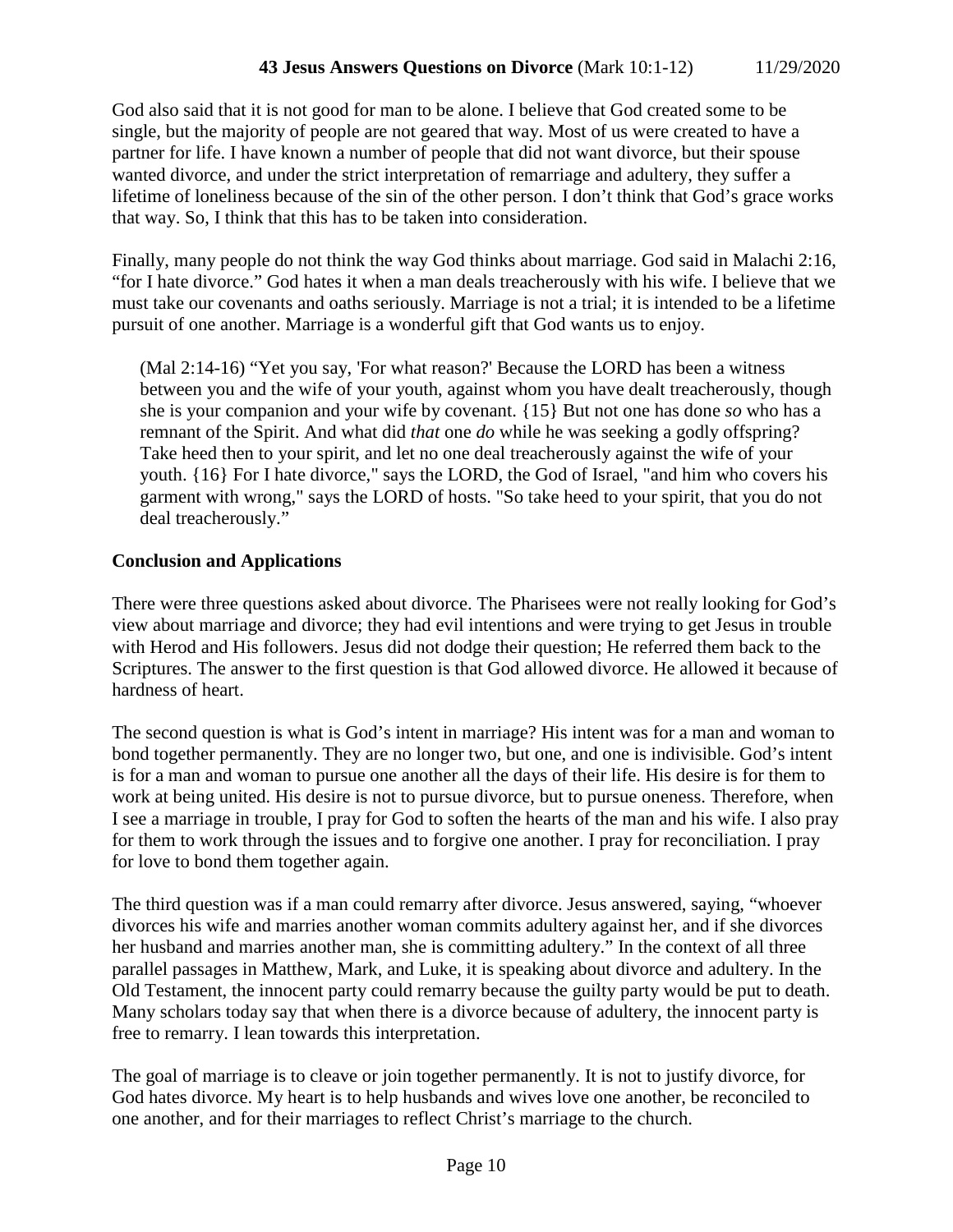God also said that it is not good for man to be alone. I believe that God created some to be single, but the majority of people are not geared that way. Most of us were created to have a partner for life. I have known a number of people that did not want divorce, but their spouse wanted divorce, and under the strict interpretation of remarriage and adultery, they suffer a lifetime of loneliness because of the sin of the other person. I don't think that God's grace works that way. So, I think that this has to be taken into consideration.

Finally, many people do not think the way God thinks about marriage. God said in Malachi 2:16, "for I hate divorce." God hates it when a man deals treacherously with his wife. I believe that we must take our covenants and oaths seriously. Marriage is not a trial; it is intended to be a lifetime pursuit of one another. Marriage is a wonderful gift that God wants us to enjoy.

(Mal 2:14-16) "Yet you say, 'For what reason?' Because the LORD has been a witness between you and the wife of your youth, against whom you have dealt treacherously, though she is your companion and your wife by covenant. {15} But not one has done *so* who has a remnant of the Spirit. And what did *that* one *do* while he was seeking a godly offspring? Take heed then to your spirit, and let no one deal treacherously against the wife of your youth. {16} For I hate divorce," says the LORD, the God of Israel, "and him who covers his garment with wrong," says the LORD of hosts. "So take heed to your spirit, that you do not deal treacherously."

### **Conclusion and Applications**

There were three questions asked about divorce. The Pharisees were not really looking for God's view about marriage and divorce; they had evil intentions and were trying to get Jesus in trouble with Herod and His followers. Jesus did not dodge their question; He referred them back to the Scriptures. The answer to the first question is that God allowed divorce. He allowed it because of hardness of heart.

The second question is what is God's intent in marriage? His intent was for a man and woman to bond together permanently. They are no longer two, but one, and one is indivisible. God's intent is for a man and woman to pursue one another all the days of their life. His desire is for them to work at being united. His desire is not to pursue divorce, but to pursue oneness. Therefore, when I see a marriage in trouble, I pray for God to soften the hearts of the man and his wife. I also pray for them to work through the issues and to forgive one another. I pray for reconciliation. I pray for love to bond them together again.

The third question was if a man could remarry after divorce. Jesus answered, saying, "whoever divorces his wife and marries another woman commits adultery against her, and if she divorces her husband and marries another man, she is committing adultery." In the context of all three parallel passages in Matthew, Mark, and Luke, it is speaking about divorce and adultery. In the Old Testament, the innocent party could remarry because the guilty party would be put to death. Many scholars today say that when there is a divorce because of adultery, the innocent party is free to remarry. I lean towards this interpretation.

The goal of marriage is to cleave or join together permanently. It is not to justify divorce, for God hates divorce. My heart is to help husbands and wives love one another, be reconciled to one another, and for their marriages to reflect Christ's marriage to the church.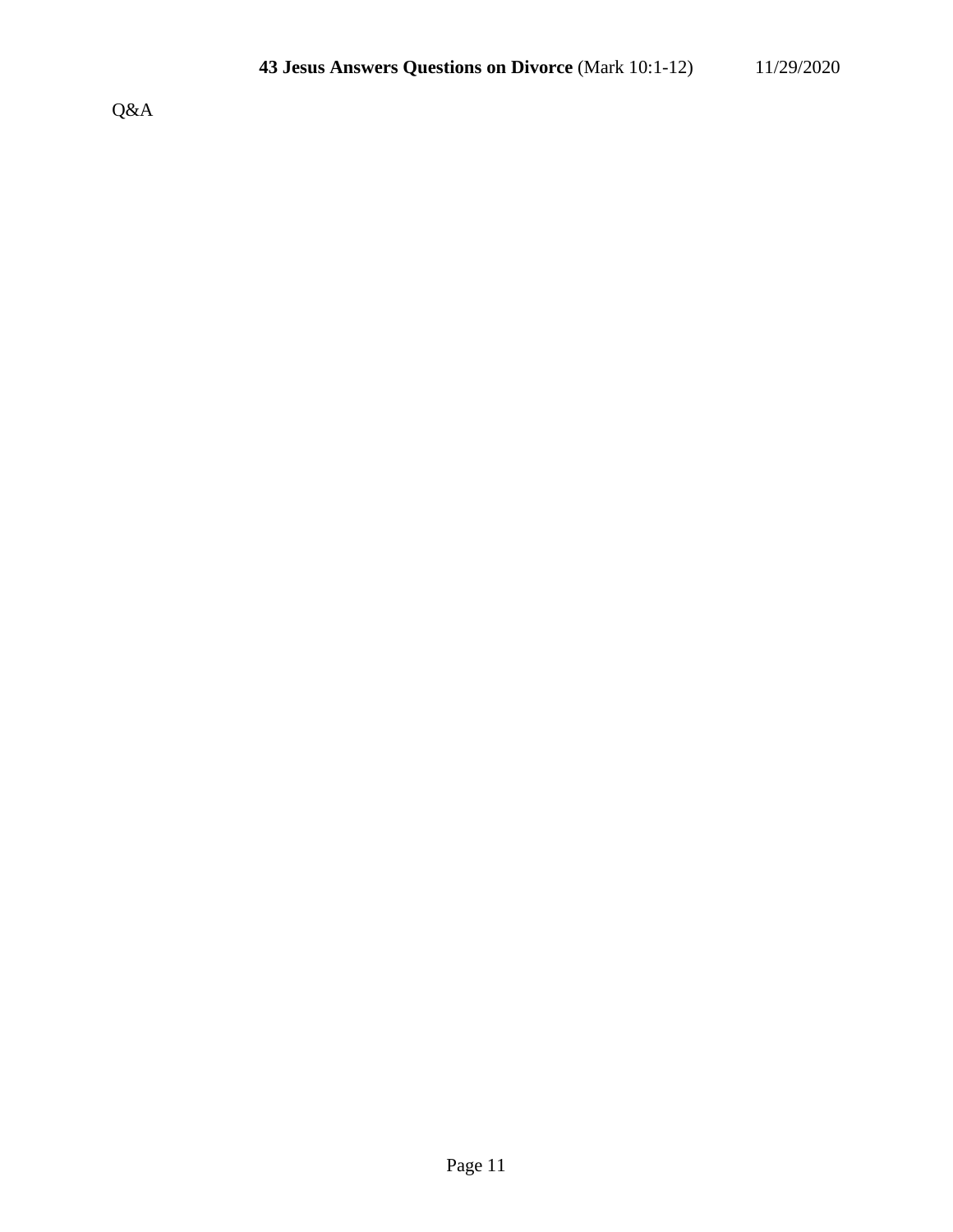Q&A